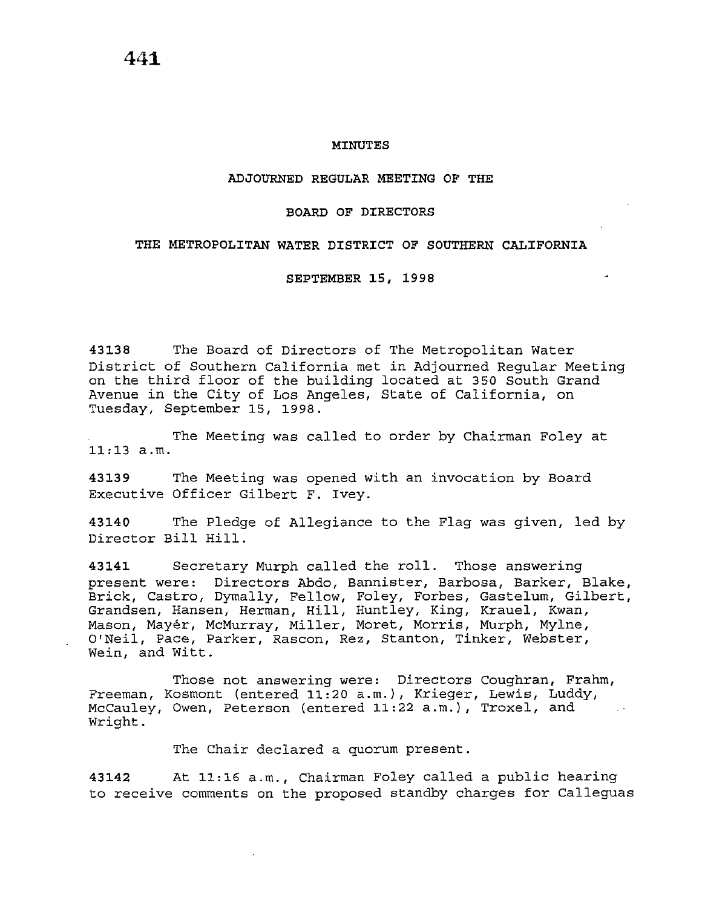## **ADJOURNED REGULAR MEETING OF THE**

## **BOARD OF DIRECTORS**

## **THE METROPOLITAN WATER DISTRICT OF SOUTHERN CALIFORNIA**

## **SEPTEMBER 15, 1998**

**43138** The Board of Directors of The Metropolitan Water District of Southern California met in Adjourned Regular Meeting on the third floor of the building located at 350 South Grand Avenue in the City of Los Angeles, State of California, on Tuesday, September 15, 1998.

The Meeting was called to order by Chairman Foley at 11:13 a.m.

**43139** The Meeting was opened with an invocation by Board Executive Officer Gilbert F. Ivey.

**43140** The Pledge of Allegiance to the Flag was given, led by Director Bill Hill.

**43141** Secretary Murph called the roll. Those answering present were: Directors Abdo, Bannister, Barbosa, Barker, Blake, Brick, Castro, Dymally, Fellow, Foley, Forbes, Gastelum, Gilbert, Grandsen, Hansen, Herman, Hill, Huntley, King, Krauel, Kwan, Mason, Mayer, McMurray, Miller, Moret, Morris, Murph, Mylne, O'Neil, Pace, Parker, Rascon, Rez, Stanton, Tinker, Webster, Wein, and Witt.

Those not answering were: Directors Coughran, Frahm, Freeman, Kosmont (entered 11:20 a.m.), Krieger, Lewis, Luddy, McCauley, Owen, Peterson (entered 11:22 a.m.), Troxel, and Wright.

The Chair declared a quorum present.

**43142** At 11:16 a.m., Chairman Foley called a public hearing to receive comments on the proposed standby charges for Calleguas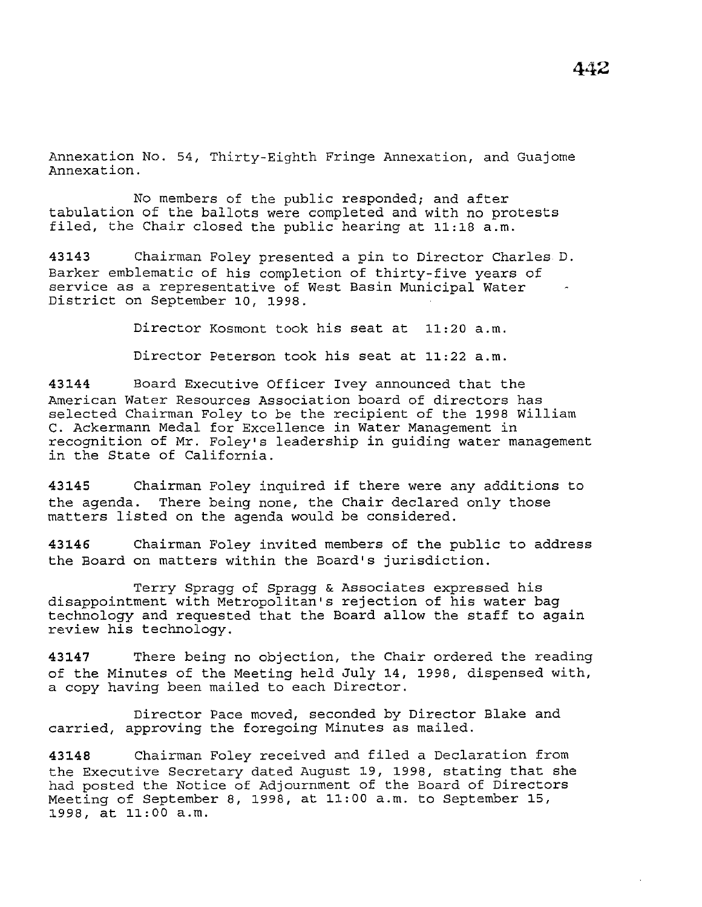Annexation No. 54, Thirty-Eighth Fringe Annexation, and Guajome Annexation.

No members of the public responded; and after tabulation of the ballots were completed and with no protests filed, the Chair closed the public hearing at 11:18 a.m.

**43143** Chairman Foley presented a pin to Director Charles D. Barker emblematic of his completion of thirty-five years of service as a representative of West Basin Municipal Water District on September 10, 1998.

Director Kosmont took his seat at 11:20 a.m.

Director Peterson took his seat at 11:22 a.m.

**43144** Board Executive Officer Ivey announced that the American Water Resources Association board of directors has selected Chairman Foley to be the recipient of the 1998 William C. Ackermann Medal for Excellence in Water Management in recognition of Mr. Foley's leadership in guiding water management in the State of California.

**<sup>43145</sup>**Chairman Foley inquired if there were any additions to the agenda. There being none, the Chair declared only those matters listed on the agenda would be considered.

**43146** Chairman Foley invited members of the public to address the Board on matters within the Board's jurisdiction.

Terry Spragg of Spragg & Associates expressed his disappointment with Metropolitan's rejection of his water bag technology and requested that the Board allow the staff to again review his technology.

**43147** There being no objection, the Chair ordered the reading of the Minutes of the Meeting held July 14, 1998, dispensed with, a copy having been mailed to each Director.

Director Pace moved, seconded by Director Blake and carried, approving the foregoing Minutes as mailed.

**43148** Chairman Foley received and filed a Declaration from the Executive Secretary dated August 19, 1998, stating that she had posted the Notice of Adjournment of the Board of Directors Meeting of September 8, 1998, at 11:00 a.m. to September 15, 1998, at 11:00 a.m.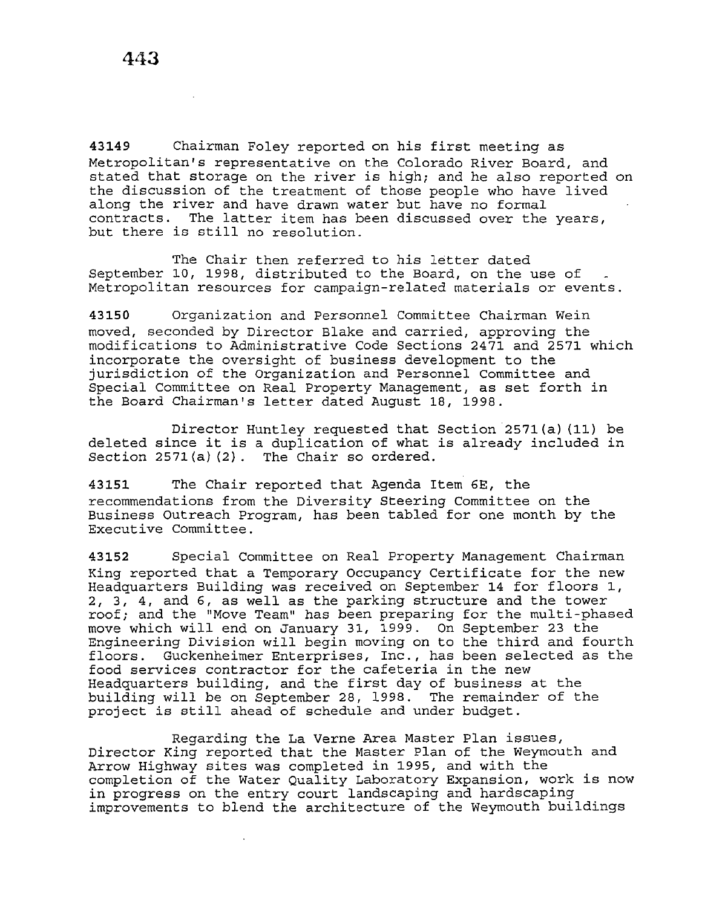**<sup>43149</sup>**Chairman Foley reported on his first meeting as Metropolitan's representative on the Colorado River Board, and stated that storage on the river is high; and he also reported on the discussion of the treatment of those people who have lived along the river and have drawn water but have no formal contracts. The latter item has been discussed over the years, but there is still no resolution.

The Chair then referred to his letter dated September 10, 1998, distributed to the Board, on the use of Metropolitan resources for campaign-related materials or events.

**43150** Organization and Personnel Committee Chairman Wein moved, seconded by Director Blake and carried, approving the modifications to Administrative Code Sections 2471 and 2571 which incorporate the oversight of business development to the jurisdiction of the Organization and Personnel Committee and Special Committee on Real Property Management, as set forth *in*  the Board Chairman's letter dated August 18, 1998.

Director Huntley requested that Section 2571(a) (11) be deleted since it is a duplication of what is already included in Section 2571(a)(2). The Chair so ordered.

**43151** The Chair reported that Agenda Item 6E, the recommendations from the Diversity Steering Committee on the Business Outreach Program, has been tabled for one month by the Executive Committee.

**43152** Special Committee on Real Property Management Chairman King reported that a Temporary Occupancy Certificate for the new Headquarters Building was received on September 14 for floors 1, 2, 3, 4, and 6, as well as the parking structure and the tower roof; and the "Move Team" has been preparing for the multi-phased move which will end on January 31, 1999. On September 23 the Engineering Division will begin moving on to the third and fourth floors. Guckenheimer Enterprises, Inc., has been selected as the food services contractor for the cafeteria in the new Headquarters building, and the first day of business at the<br>building will be on September 28, 1998. The remainder of the building will be on September 28, 1998. project is still ahead of schedule and under budget.

Regarding the La Verne Area Master Plan issues, Director King reported that the Master Plan of the Weymouth and Arrow Highway sites was completed in 1995, and with the completion of the Water Quality Laboratory Expansion, work is now in progress on the entry court landscaping and hardscaping improvements to blend the architecture of the Weymouth buildings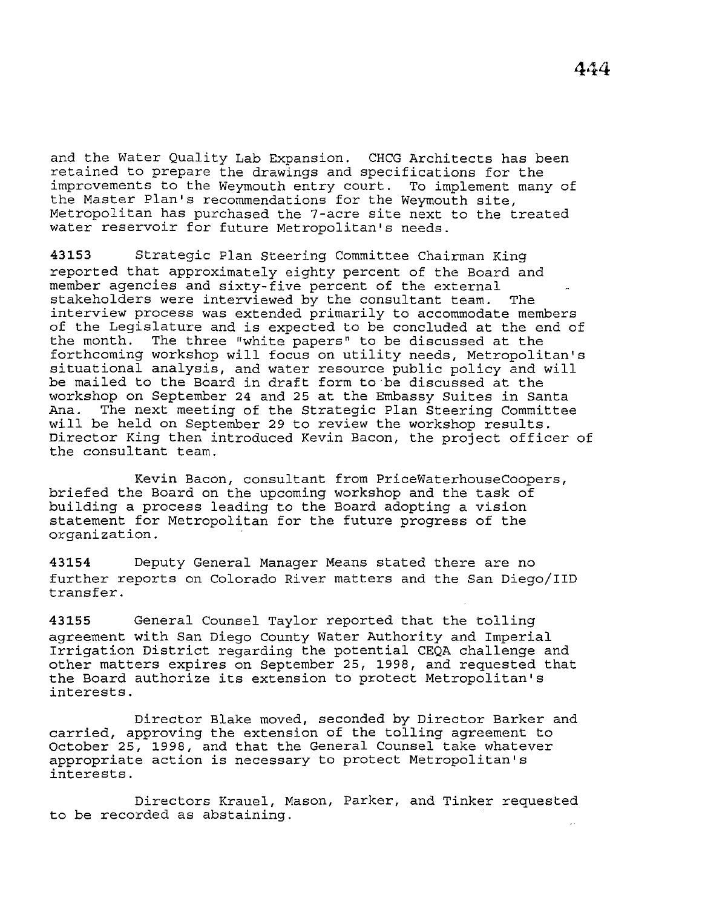and the Water Quality Lab Expansion. CHCG Architects has been retained to prepare the drawings and specifications for the improvements to the Weymouth entry court. To implement many of the Master Plan's recommendations for the Weymouth site, Metropolitan has purchased the 7-acre site next to the treated water reservoir for future Metropolitan's needs.

**43153** Strategic Plan Steering Committee Chairman King reported that approximately eighty percent of the Board and member agencies and sixty-five percent of the external stakeholders were interviewed by the consultant team. The interview process was extended primarily to accommodate members of the Legislature and is expected to be concluded at the end of the month. The three "white papers" to be discussed at the forthcoming workshop will focus on utility needs, Metropolitan's situational analysis, and water resource public policy and will be mailed to the Board in draft form to be discussed at the workshop on September 24 and 25 at the Embassy Suites in Santa Ana. The next meeting of the Strategic Plan Steering Committee will be held on September 29 to review the workshop results. Director King then introduced Kevin Bacon, the project officer of the consultant team.

Kevin Bacon, consultant from PriceWaterhouseCoopers, briefed the Board on the upcoming workshop and the task of building a process leading to the Board adopting a vision statement for Metropolitan for the future progress of the organization.

**43154** Deputy General Manager Means stated there are no further reports on Colorado River matters and the San Diego/liD transfer.

**43155** General Counsel Taylor reported that the tolling agreement with San Diego County Water Authority and Imperial Irrigation District regarding the potential CEQA challenge and other matters expires on September 25, 1998, and requested that the Board authorize its extension to protect Metropolitan's interests.

Director Blake moved, seconded by Director Barker and carried, approving the extension of the tolling agreement to October 25, 1998, and that the General Counsel take whatever appropriate action is necessary to protect Metropolitan's interests.

Directors Krauel, Mason, Parker, and Tinker requested to be recorded as abstaining.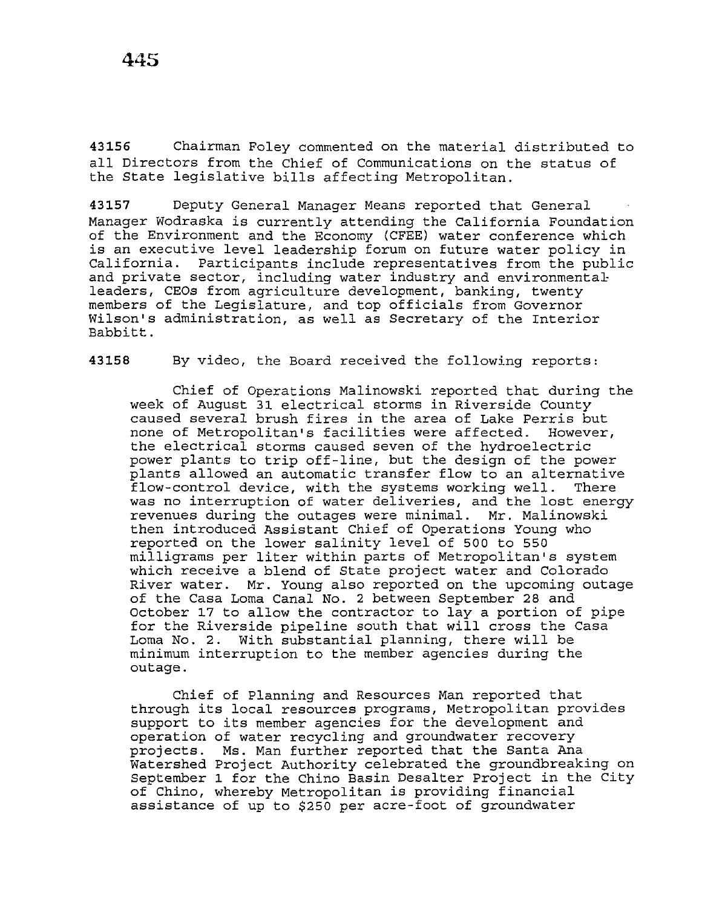**43156** Chairman Foley commented on the material distributed to all Directors from the Chief of Communications on the status of the State legislative bills affecting Metropolitan.

**43157** Deputy General Manager Means reported that General Manager Wodraska is currently attending the California Foundation of the Environment and the Economy (CFEE) water conference which is an executive level leadership forum on future water policy in California. Participants include representatives from the public and private sector, including water industry and environmentalleaders, CEOs from agriculture development, banking, twenty members of the Legislature, and top officials from Governor Wilson's administration, as well as Secretary of the Interior Babbitt.

**43158** By video, the Board received the following reports:

Chief of Operations Malinowski reported that during the week of August 31 electrical storms in Riverside County caused several brush fires in the area of Lake Perris but none of Metropolitan's facilities were affected. However, the electrical storms caused seven of the hydroelectric power plants to trip off-line, but the design of the power plants allowed an automatic transfer flow to an alternative flow-control device, with the systems working well. There was no interruption of water deliveries, and the lost energy revenues during the outages were minimal. Mr. Malinowski then introduced Assistant Chief of Operations Young who reported on the lower salinity level of 500 to 550 milligrams per liter within parts of Metropolitan's system which receive a blend of State project water and Colorado River water. Mr. Young also reported on the upcoming outage of the Casa Loma Canal No. 2 between September 28 and October 17 to allow the contractor to lay a portion of pipe for the Riverside pipeline south that will cross the Casa Loma No. 2. With substantial planning, there will be minimum interruption to the member agencies during the outage.

Chief of Planning and Resources Man reported that through its local resources programs, Metropolitan provides support to its member agencies for the development and operation of water recycling and groundwater recovery projects. Ms. Man further reported that the Santa Ana Watershed Project Authority celebrated the groundbreaking on September 1 for the Chino Basin Desalter Project in the City of Chino, whereby Metropolitan is providing financial assistance of up to \$250 per acre-foot of groundwater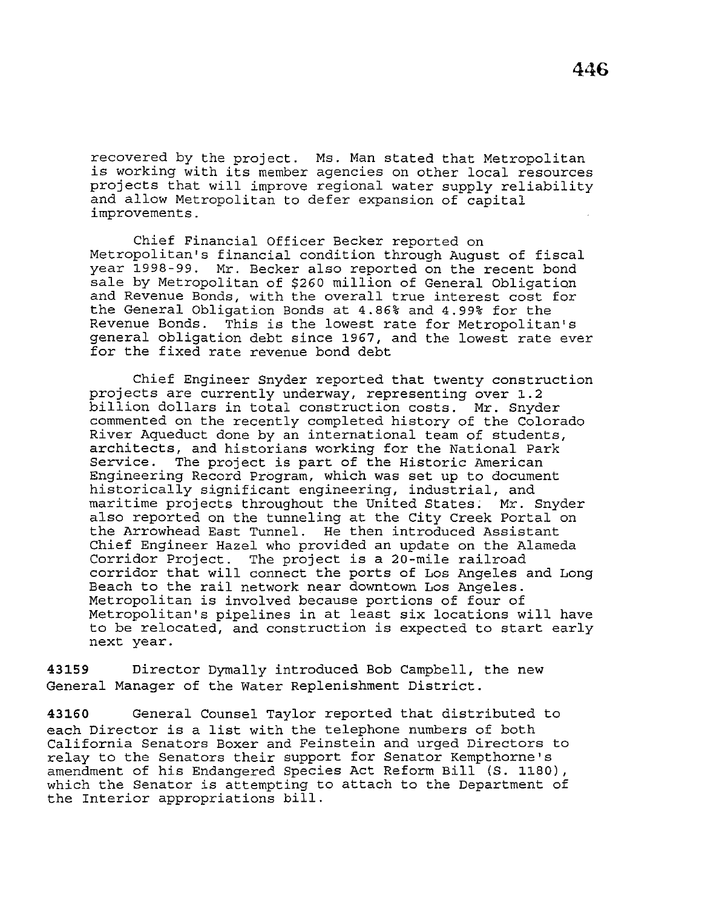**446** 

recovered by the project. Ms. Man stated that Metropolitan is working with its member agencies on other local resources projects that will improve regional water supply reliability and allow Metropolitan to defer expansion of capital improvements.

Chief Financial Officer Becker reported on Metropolitan's financial condition through August of fiscal year 1998-99. Mr. Becker also reported on the recent bond sale by Metropolitan of \$260 million of General Obligation and Revenue Bonds, with the overall true interest cost for the General Obligation Bonds at 4.86% and 4.99% for the Revenue Bonds. This is the lowest rate for Metropolitan's general obligation debt since 1967, and the lowest rate ever for the fixed rate revenue bond debt

Chief Engineer Snyder reported that twenty construction projects are currently underway, representing over 1.2 billion dollars in total construction costs. Mr. Snyder commented on the recently completed history of the Colorado River Aqueduct done by an international team of students, architects, and historians working for the National Park The project is part of the Historic American Engineering Record Program, which was set up to document historically significant engineering, industrial, and maritime projects throughout the United States; Mr. Snyder also reported on the tunneling at the City Creek Portal on the Arrowhead East Tunnel. He then introduced Assistant Chief Engineer Hazel who provided an update on the Alameda Corridor Project. The project is a 20-mile railroad corridor that will connect the ports of Los Angeles and Long Beach to the rail network near downtown Los Angeles. Metropolitan is involved because portions of four of Metropolitan's pipelines in at least six locations will have to be relocated, and construction is expected to start early next year.

**43159** Director Dymally introduced Bob Campbell, the new General Manager of the Water Replenishment District.

**43160** General Counsel Taylor reported that distributed to each Director is a list with the telephone numbers of both California Senators Boxer and Feinstein and urged Directors to relay to the Senators their support for Senator Kempthorne's amendment of his Endangered Species Act Reform Bill (S. 1180), which the Senator is attempting to attach to the Department of the Interior appropriations bill.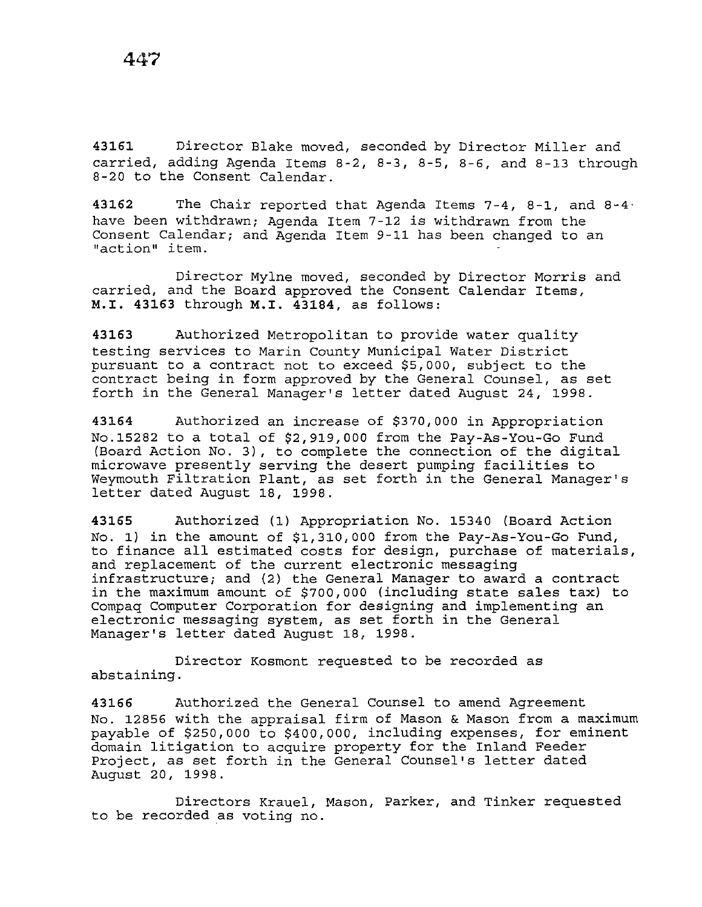**43161** Director Blake moved, seconded by Director Miller and carried, adding Agenda Items 8-2, 8-3, 8-5, 8-6, and 8-13 through 8-20 to the Consent Calendar.

**43162** The Chair reported that Agenda Items 7-4, 8-1, and 8-4 have been withdrawn; Agenda Item 7-12 is withdrawn from the Consent Calendar; and Agenda Item 9-11 has been changed to an "action'' item.

Director Mylne moved, seconded by Director Morris and carried, and the Board approved the Consent Calendar Items, **M.I. 43163** through **M.I. 43184,** as follows:

**43163** Authorized Metropolitan to provide water quality testing services to Marin County Municipal Water District pursuant to a contract not to exceed \$5,000, subject to the contract being in form approved by the General Counsel, as set forth in the General Manager's letter dated August 24, 1998.

**43164** Authorized an increase of \$370,000 in Appropriation No.15282 to a total of \$2,919,000 from the Pay-As-You-Go Fund (Board Action No. 3), to complete the connection of the digital microwave presently serving the desert pumping facilities to Weymouth Filtration Plant, as set forth in the General Manager's letter dated August 18, 1998.

**43165** Authorized (1) Appropriation No. 15340 (Board Action No. 1) in the amount of \$1,310,000 from the Pay-As-You-Go Fund, to finance all estimated costs for design, purchase of materials, and replacement of the current electronic messaging infrastructure; and (2) the General Manager to award a contract in the maximum amount of \$700,000 (including state sales tax) to Compaq Computer Corporation for designing and implementing an electronic messaging system, as set forth in the General Manager's letter dated August 18, 1998.

Director Kosmont requested to be recorded as abstaining.

**43166** Authorized the General Counsel to amend Agreement No. 12856 with the appraisal firm of Mason & Mason from a maximum payable of \$250,000 to \$400,000, including expenses, for eminent domain litigation to acquire property for the Inland Feeder Project, as set forth in the General Counsel's letter dated August 20, 1998.

Directors Krauel, Mason, Parker, and Tinker requested to be recorded as voting no.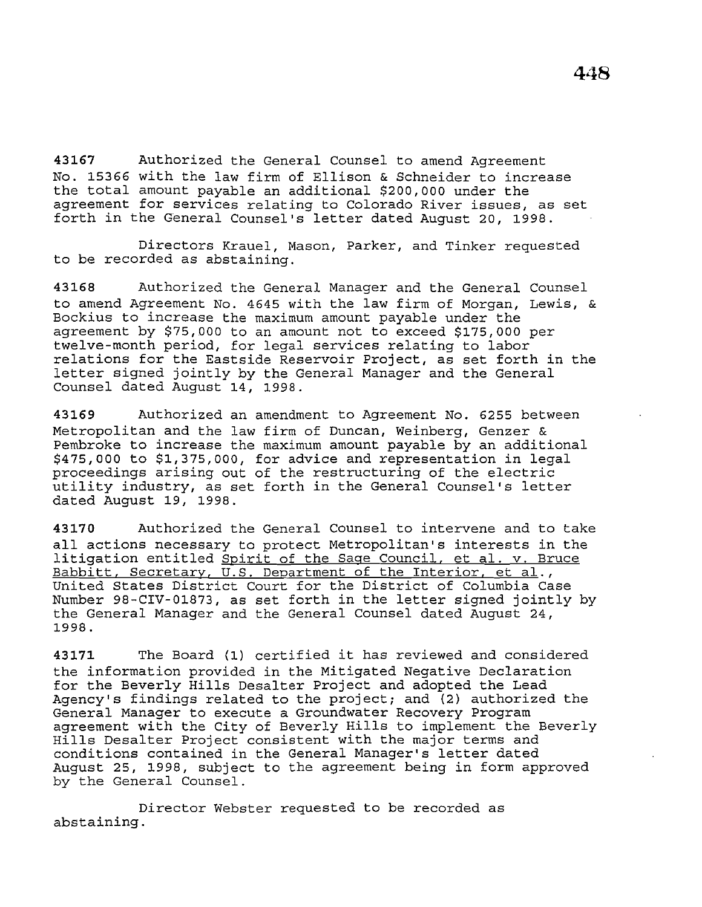**43167** Authorized the General Counsel to amend Agreement No. 15366 with the law firm of Ellison & Schneider to increase the total amount payable an additional \$200,000 under the agreement for services relating to Colorado River issues, as set forth in the General Counsel's letter dated August 20, 1998.

Directors Krauel, Mason, Parker, and Tinker requested to be recorded as abstaining.

**43168** Authorized the General Manager and the General Counsel to amend Agreement No. 4645 with the law firm of Morgan, Lewis, & Beckius to increase the maximum amount payable under the agreement by \$75,000 to an amount not to exceed \$175,000 per twelve-month period, for legal services relating to labor relations for the Eastside Reservoir Project, as set forth in the letter signed jointly by the General Manager and the General Counsel dated August 14, 1998.

**43169** Authorized an amendment to Agreement No. 6255 between Metropolitan and the law firm of Duncan, Weinberg, Genzer & Pembroke to increase the maximum amount payable by an additional \$475,000 to \$1,375,000, for advice and representation in legal proceedings arising out of the restructuring of the electric utility industry, as set forth in the General Counsel's letter dated August 19, 1998.

**43170** Authorized the General Counsel to intervene and to take all actions necessary to protect Metropolitan's interests in the litigation entitled Spirit of the Sage Council, et al. v. Bruce Babbitt, Secretary, U.S. Department of the Interior, et al., United States District Court for the District of Columbia Case Number 98-CIV-01873, as set forth in the letter signed jointly by the General Manager and the General Counsel dated August 24, 1998.

**<sup>43171</sup>**The Board (1) certified it has reviewed and considered the information provided in the Mitigated Negative Declaration for the Beverly Hills Desalter Project and adopted the Lead Agency's findings related to the project; and (2) authorized the General Manager to execute a Groundwater Recovery Program agreement with the City of Beverly Hills to implement the Beverly Hills Desalter Project consistent with the major terms and conditions contained in the General Manager's letter dated August 25, 1998, subject to the agreement being in form approved by the General Counsel.

Director Webster requested to be recorded as abstaining.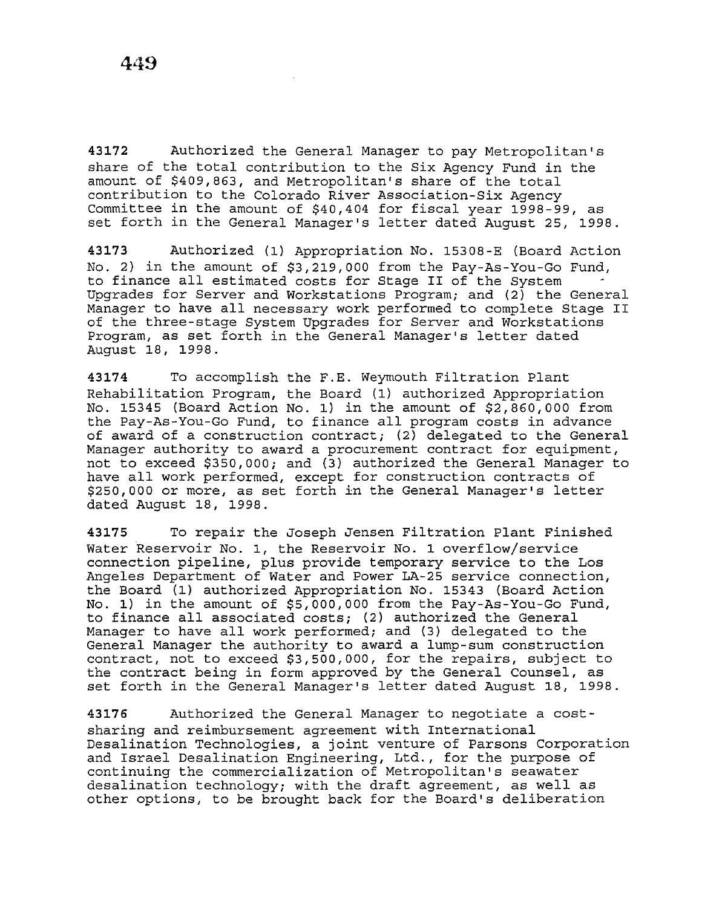**43172** Authorized the General Manager to pay Metropolitan's share of the total contribution to the Six Agency Fund in the amount of \$409,863, and Metropolitan's share of the total contribution to the Colorado River Association-Six Agency Committee in the amount of \$40,404 for fiscal year 1998-99, as set forth in the General Manager's letter dated August 25, 1998.

**43173** Authorized (1) Appropriation No. 15308-E (Board Action No. 2) in the amount of \$3,219,000 from the Pay-As-You-Go Fund, to finance all estimated costs for Stage II of the System Upgrades for Server and Workstations Program; and (2) the General Manager to have all necessary work performed to complete Stage II of the three-stage System Upgrades for Server and Workstations Program, as set forth in the General Manager's letter dated August 18, 1998.

**43174** To accomplish the F.E. Weymouth Filtration Plant Rehabilitation Program, the Board (1) authorized Appropriation No. 15345 (Board Action No. 1) in the amount of \$2,860,000 from the Pay-As-You-Go Fund, to finance all program costs in advance of award of a construction contract;  $(2)$  delegated to the General Manager authority to award a procurement contract for equipment, not to exceed \$350,000; and (3) authorized the General Manager to have all work performed, except for construction contracts of \$250,000 or more, as set forth in the General Manager's letter dated August 18, 1998.

**43175** To repair the Joseph Jensen Filtration Plant Finished Water Reservoir No. 1, the Reservoir No. 1 overflow/service connection pipeline, plus provide temporary service to the Los Angeles Department of Water and Power LA-25 service connection, the Board (1) authorized Appropriation No. 15343 (Board Action No. 1) in the amount of \$5,000,000 from the Pay-As-You-Go Fund, to finance all associated costs; (2) authorized the General Manager to have all work performed; and {3) delegated to the General Manager the authority to award a lump-sum construction contract, not to exceed \$3,500,000, for the repairs, subject to the contract being in form approved by the General Counsel, as set forth in the General Manager's letter dated August 18, 1998.

**43176** Authorized the General Manager to negotiate a costsharing and reimbursement agreement with International Desalination Technologies, a joint venture of Parsons Corporation and Israel Desalination Engineering, Ltd., for the purpose of continuing the commercialization of Metropolitan's seawater desalination technology; with the draft agreement, as well as other options, to be brought back for the Board's deliberation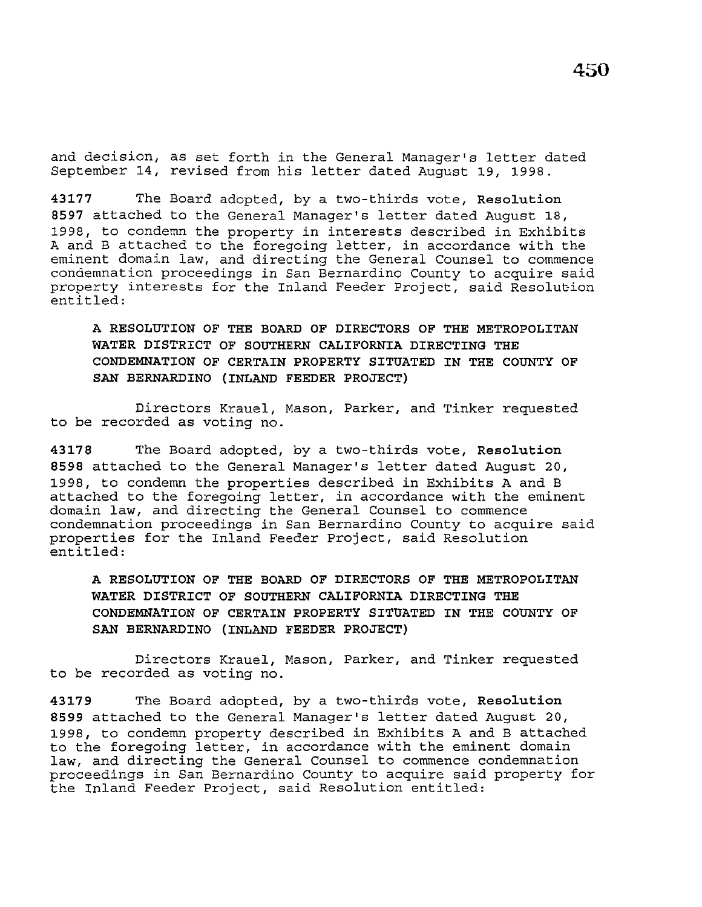and decision, as set forth in the General Manager's letter dated September 14, revised from his letter dated August 19, 1998.

**43177** The Board adopted, by a two-thirds vote, **Resolution <sup>8597</sup>**attached to the General Manager's letter dated August 18, 1998, to condemn the property in interests described in Exhibits A and B attached to the foregoing letter, in accordance with the eminent domain law, and directing the General Counsel to commence condemnation proceedings in San Bernardino County to acquire said property interests for the Inland Feeder Project, said Resolubion entitled:

**A RESOLUTION OF THE BOARD OF DIRECTORS OF THE METROPOLITAN WATER DISTRICT OF SOUTHERN CALIFORNIA DIRECTING THE CONDEMNATION OF CERTAIN PROPERTY SITUATED IN THE COUNTY OF SAN BERNARDINO (INLAND FEEDER PROJECT)** 

Directors Krauel, Mason, Parker, and Tinker requested to be recorded as voting no.

**43178** The Board adopted, by a two-thirds vote, **Resolution <sup>8598</sup>**attached to the General Manager's letter dated August 20, 1998, to condemn the properties described in Exhibits A and B attached to the foregoing letter, in accordance with the eminent domain law, and directing the General Counsel to commence condemnation proceedings in San Bernardino County to acquire said properties for the Inland Feeder Project, said Resolution entitled:

**A RESOLUTION OF THE BOARD OF DIRECTORS OF THE METROPOLITAN WATER DISTRICT OF SOUTHERN CALIFORNIA DIRECTING THE CONDEMNATION OF CERTAIN PROPERTY SITUATED IN THE COUNTY OF SAN BERNARDINO (INLAND FEEDER PROJECT)** 

Directors Krauel, Mason, Parker, and Tinker requested to be recorded as voting no.

**43179** The Board adopted, by a two-thirds vote, **Resolution <sup>8599</sup>**attached to the General Manager's letter dated August 20, 1998, to condemn property described in Exhibits A and B attached to the foregoing letter, in accordance with the eminent domain law, and directing the General Counsel to commence condemnation proceedings in San Bernardino County to acquire said property for the Inland Feeder Project, said Resolution entitled: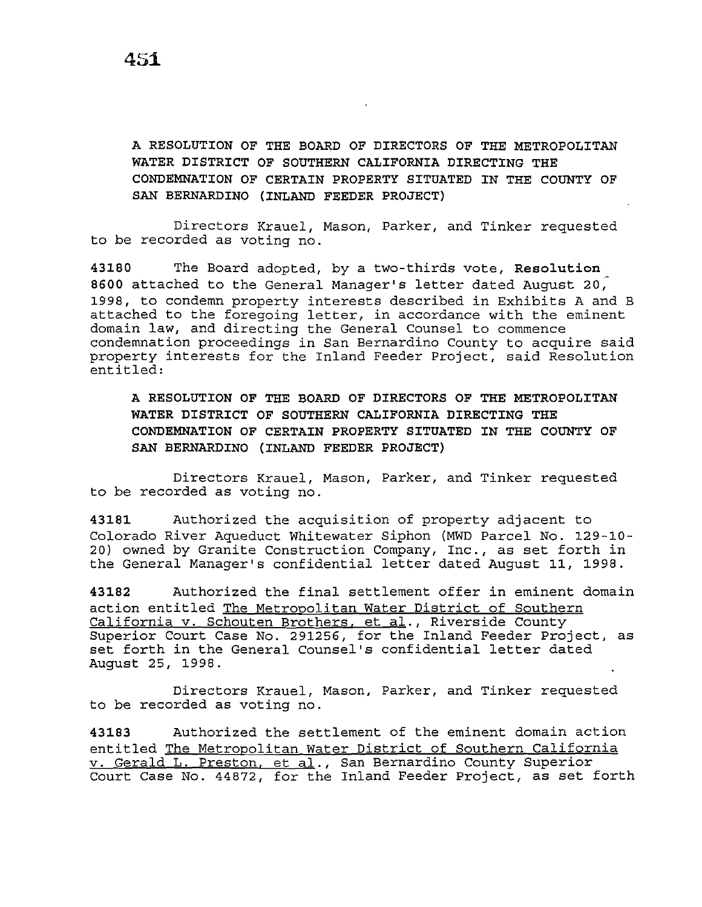**A RESOLUTION OF THE BOARD OF DIRECTORS OF THE METROPOLITAN WATER DISTRICT OF SOUTHERN CALIFORNIA DIRECTING THE CONDEMNATION OF CERTAIN PROPERTY SITUATED IN THE COUNTY OF SAN BERNARDINO (INLAND FEEDER PROJECT)** 

Directors Krauel, Mason, Parker, and Tinker requested to be recorded as voting no.

**43180** The Board adopted, by a two-thirds vote, **Resolution <sup>8600</sup>**attached to the General Manager's letter dated August 20; 1998, to condemn property interests described in Exhibits A and B attached to the foregoing letter, in accordance with the eminent domain law, and directing the General Counsel to commence condemnation proceedings in San Bernardino County to acquire said property interests for the Inland Feeder Project, said Resolution entitled:

**A RESOLUTION OF THE BOARD OF DIRECTORS OF THE METROPOLITAN WATER DISTRICT OF SOUTHERN CALIFORNIA DIRECTING THE CONDEMNATION OF CERTAIN PROPERTY SITUATED IN THE COUNTY OF SAN BERNARDINO (INLAND FEEDER PROJECT)** 

Directors Krauel, Mason, Parker, and Tinker requested to be recorded as voting no.

**43181** Authorized the acquisition of property adjacent to Colorado River Aqueduct Whitewater Siphon (MWD Parcel No. 129-10- 20) owned by Granite Construction Company, Inc., as set forth in the General Manager's confidential letter dated August **11,** 1998.

**43182** Authorized the final settlement offer in eminent domain action entitled The Metropolitan Water District of Southern California v. Schouten Brothers, et al., Riverside County Superior Court Case No. 291256, for the Inland Feeder Project, as set forth in the General Counsel's confidential letter dated August 25, 1998.

Directors Krauel, Mason, Parker, and Tinker requested to be recorded as voting no.

**43183** Authorized the settlement of the eminent domain action entitled The Metropolitan Water District of Southern California v. Gerald L. Preston, et al., San Bernardino County Superior Court Case No. 44872, for the Inland Feeder Project, as set forth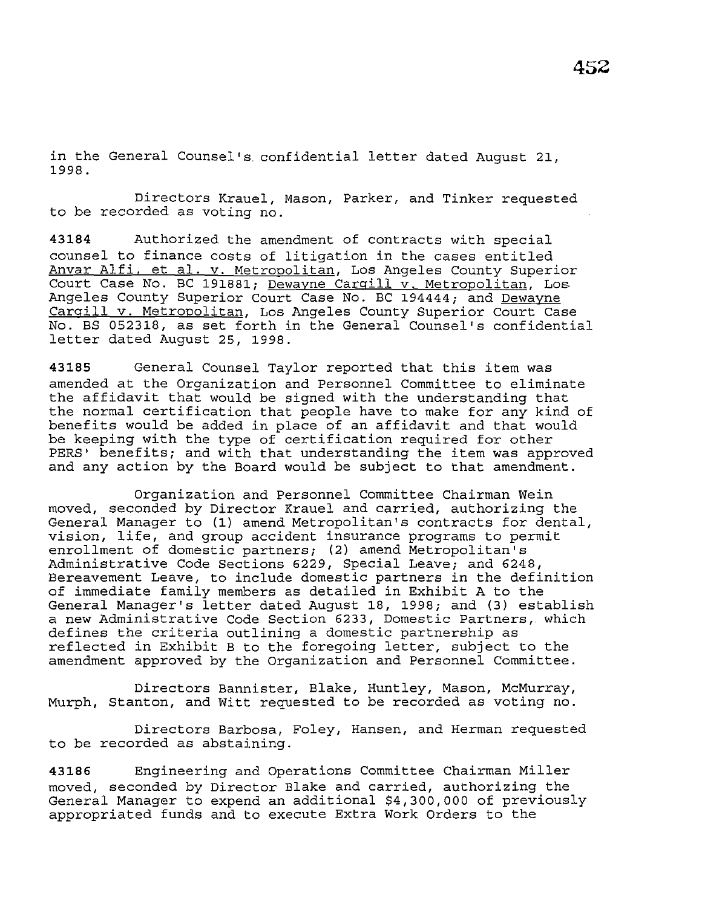in the General Counsel's. confidential letter dated August 21, 1998.

Directors Krauel, Mason, Parker, and Tinker requested to be recorded as voting no.

**43184** Authorized the amendment of contracts with special counsel to finance costs of litigation in the cases entitled Anvar Alfi, et al. v. Metropolitan, Los Angeles County Superior Court Case No. BC 191881; Dewayne Cargill v. Metropolitan, Los Angeles County Superior Court Case No. BC 194444; and Dewayne Cargill v. Metropolitan, Los Angeles County Superior Court Case No. BS 052318, as set forth in the General Counsel's confidential letter dated August 25, 1998.

**43185** General Counsel Taylor reported that this item was amended at the Organization and Personnel Committee to eliminate the affidavit that would be signed with the understanding that the normal certification that people have to make for any kind of benefits would be added in place of an affidavit and that would be keeping with the type of certification required for other PERS' benefits; and with that understanding the item was approved and any action by the Board would be subject to that amendment.

Organization and Personnel Committee Chairman Wein moved, seconded by Director Krauel and carried, authorizing the General Manager to (1) amend Metropolitan's contracts for dental, vision, life, and group accident insurance programs to permit enrollment of domestic partners; (2) amend Metropolitan's Administrative Code Sections 6229, Special Leave; and 6248, Bereavement Leave, to include domestic partners in the definition of immediate family members as detailed in Exhibit A to the General Manager's letter dated August 18, 1998; and (3) establish a new Administrative Code Section 6233, Domestic Partners, which defines the criteria outlining a domestic partnership as reflected in Exhibit B to the foregoing letter, subject to the amendment approved by the Organization and Personnel Committee.

Directors Bannister, Blake, Huntley, Mason, McMurray, Murph, Stanton, and Witt requested to be recorded as voting no.

Directors Barbosa, Foley, Hansen, and Herman requested to be recorded as abstaining.

**43186** Engineering and Operations Committee Chairman Miller moved, seconded by Director Blake and carried, authorizing the General Manager to expend an additional \$4,300,000 of previously appropriated funds and to execute Extra Work Orders to the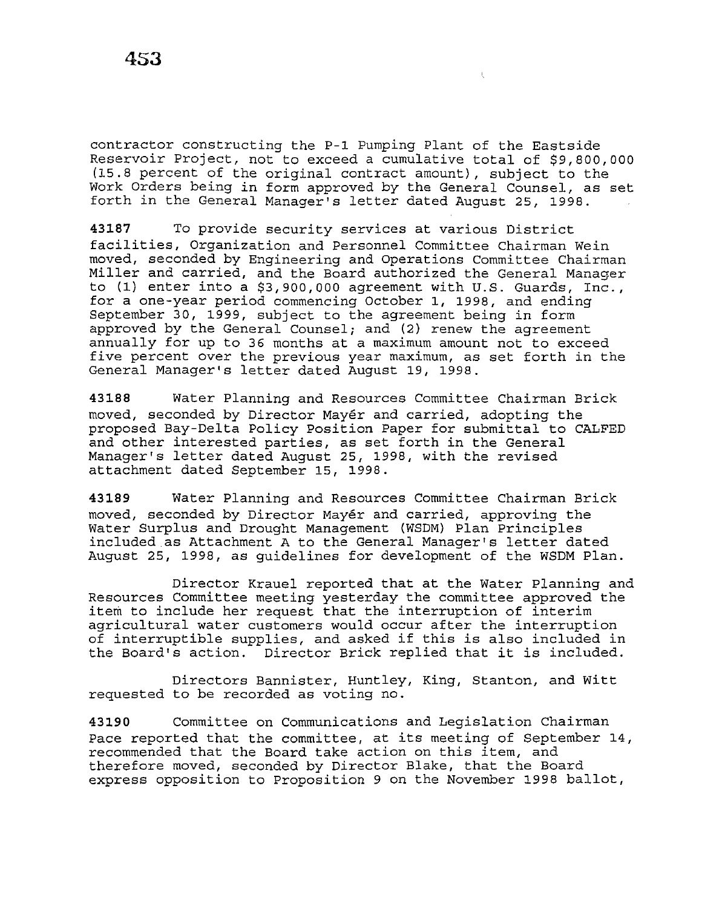contractor constructing the P-1 Pumping Plant of the Eastside Reservoir Project, not to exceed a cumulative total of \$9,800,000 (15.8 percent of the original contract amount), subject to the Work Orders being in form approved by the General Counsel, as set forth in the General Manager's letter dated August 25, 1998.

 $\chi$ 

**43187** To provide security services at various District facilities, Organization and Personnel Committee Chairman Wein moved, seconded by Engineering and Operations Committee Chairman Miller and carried, and the Board authorized the General Manager to (1) enter into a \$3,900,000 agreement with U.S. Guards, Inc., for a one-year period commencing October 1, 1998, and ending September 30, 1999, subject to the agreement being in form approved by the General Counsel; and (2) renew the agreement annually for up to 36 months at a maximum amount not to exceed five percent over the previous year maximum, as set forth in the General Manager's letter dated August 19, 1998.

**43188** Water Planning and Resources Committee Chairman Brick moved, seconded by Director Mayer and carried, adopting the proposed Bay-Delta Policy Position Paper for submittal to CALFED and other interested parties, as set forth in the General Manager's letter dated August 25, 1998, with the revised attachment dated September 15, 1998.

**43189** Water Planning and Resources Committee Chairman Brick moved, seconded by Director Mayer and carried, approving the Water Surplus and Drought Management (WSDM) Plan Principles included as Attachment A to the General Manager's letter dated August 25, 1998, as guidelines for development of the WSDM Plan.

Director Krauel reported that at the Water Planning and Resources Committee meeting yesterday the committee approved the item to include her request that the interruption of interim agricultural water customers would occur after the interruption of interruptible supplies, and asked if this is also included in the Board's action. Director Brick replied that it is included.

Directors Bannister, Huntley, King, Stanton, and Witt requested to be recorded as voting no.

**43190** Committee on Communications and Legislation Chairman Pace reported that the committee, at its meeting of September 14, recommended that the Board take action on this item, and therefore moved, seconded by Director Blake, that the Board express opposition to Proposition 9 on the November 1998 ballot,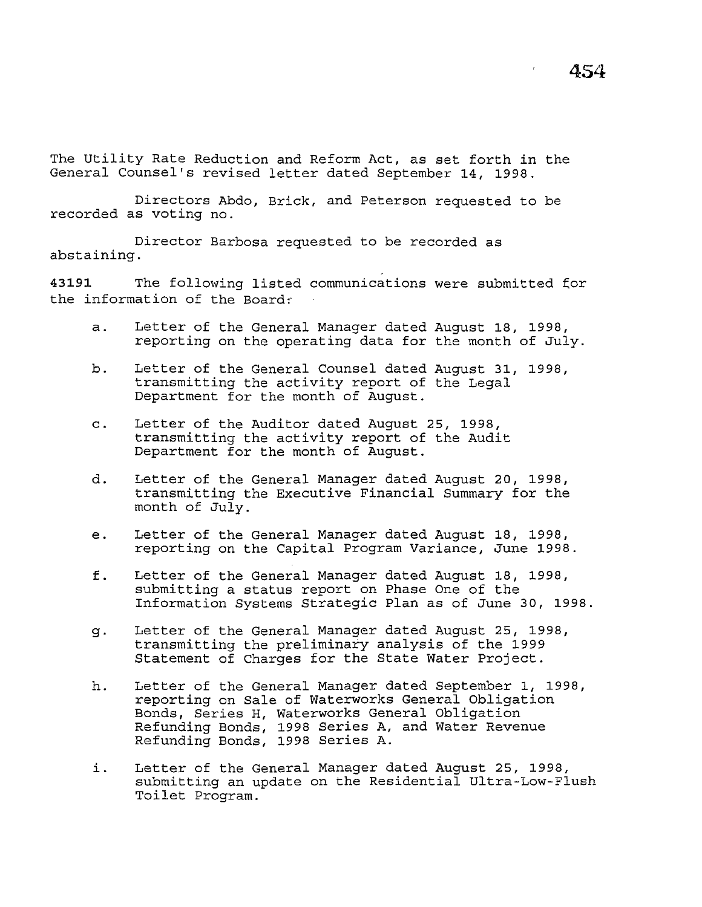The Utility Rate Reduction and Reform Act, as set forth in the General Counsel's revised letter dated September 14, 1998.

Directors Abdo, Brick, and Peterson requested to be recorded as voting no.

Director Barbosa requested to be recorded as abstaining.

43191 The following listed communications were submitted for the information of the Board:

- a. Letter of the General Manager dated August 18, 1998, reporting on the operating data for the month of July.
- b. Letter of the General Counsel dated August 31, 1998, transmitting the activity report of the Legal Department for the month of August.
- c. Letter of the Auditor dated August 25, 1998, transmitting the activity report of the Audit Department for the month of August.
- d. Letter of the General Manager dated August 20, 1998, transmitting the Executive Financial Summary for the month of July.
- e. Letter of the General Manager dated August 18, 1998, reporting on the Capital Program Variance, June 1998.
- f. Letter of the General Manager dated August 18, 1998, submitting a status report on Phase One of the Information Systems Strategic Plan as of June 30, 1998.
- g. Letter of the General Manager dated August 25, 1998, transmitting the preliminary analysis of the 1999 Statement of Charges for the State Water Project.
- h. Letter of the General Manager dated September 1, 1998, reporting on Sale of Waterworks General Obligation Bonds, Series H, Waterworks General Obligation Refunding Bonds, 1998 Series A, and Water Revenue Refunding Bonds, 1998 Series A.
- i. Letter of the General Manager dated August 25, 1998, submitting an update on the Residential Ultra-Low-Flush Toilet Program.